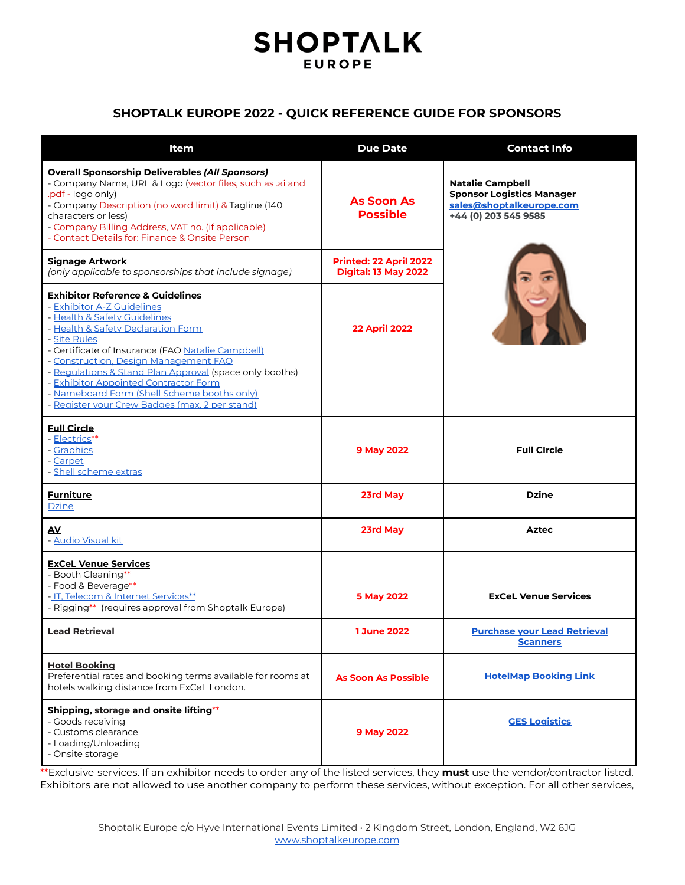## **SHOPTALK EUROPE**

## **SHOPTALK EUROPE 2022 - QUICK REFERENCE GUIDE FOR SPONSORS**

| <b>Item</b>                                                                                                                                                                                                                                                                                                                                                                                                                                                        | <b>Due Date</b>                                | <b>Contact Info</b>                                                                                             |
|--------------------------------------------------------------------------------------------------------------------------------------------------------------------------------------------------------------------------------------------------------------------------------------------------------------------------------------------------------------------------------------------------------------------------------------------------------------------|------------------------------------------------|-----------------------------------------------------------------------------------------------------------------|
| <b>Overall Sponsorship Deliverables (All Sponsors)</b><br>- Company Name, URL & Logo (vector files, such as .ai and<br>.pdf - logo only)<br>- Company Description (no word limit) & Tagline (140<br>characters or less)<br>- Company Billing Address, VAT no. (if applicable)<br>- Contact Details for: Finance & Onsite Person                                                                                                                                    | <b>As Soon As</b><br><b>Possible</b>           | <b>Natalie Campbell</b><br><b>Sponsor Logistics Manager</b><br>sales@shoptalkeurope.com<br>+44 (0) 203 545 9585 |
| <b>Signage Artwork</b><br>(only applicable to sponsorships that include signage)                                                                                                                                                                                                                                                                                                                                                                                   | Printed: 22 April 2022<br>Digital: 13 May 2022 |                                                                                                                 |
| <b>Exhibitor Reference &amp; Guidelines</b><br>- Exhibitor A-Z Guidelines<br>- Health & Safety Guidelines<br>- Health & Safety Declaration Form<br>- Site Rules<br>- Certificate of Insurance (FAO Natalie Campbell)<br>- Construction, Design Management FAO<br>- Regulations & Stand Plan Approval (space only booths)<br>- Exhibitor Appointed Contractor Form<br>- Nameboard Form (Shell Scheme booths only)<br>- Register your Crew Badges (max. 2 per stand) | <b>22 April 2022</b>                           |                                                                                                                 |
| <b>Full Circle</b><br>- Electrics**<br>- Graphics<br>- Carpet<br>- Shell scheme extras                                                                                                                                                                                                                                                                                                                                                                             | 9 May 2022                                     | <b>Full Circle</b>                                                                                              |
| <b>Eurniture</b><br><b>Dzine</b>                                                                                                                                                                                                                                                                                                                                                                                                                                   | 23rd May                                       | <b>Dzine</b>                                                                                                    |
| ΔV.<br>- Audio Visual kit                                                                                                                                                                                                                                                                                                                                                                                                                                          | 23rd May                                       | <b>Aztec</b>                                                                                                    |
| <b>ExCeL Venue Services</b><br>- Booth Cleaning**<br>- Food & Beverage**<br>- IT, Telecom & Internet Services**<br>- Rigging** (requires approval from Shoptalk Europe)                                                                                                                                                                                                                                                                                            | 5 May 2022                                     | <b>ExCeL Venue Services</b>                                                                                     |
| <b>Lead Retrieval</b>                                                                                                                                                                                                                                                                                                                                                                                                                                              | <b>1 June 2022</b>                             | <b>Purchase your Lead Retrieval</b><br><b>Scanners</b>                                                          |
| <b>Hotel Booking</b><br>Preferential rates and booking terms available for rooms at<br>hotels walking distance from ExCeL London.                                                                                                                                                                                                                                                                                                                                  | <b>As Soon As Possible</b>                     | <b>HotelMap Booking Link</b>                                                                                    |
| Shipping, storage and onsite lifting**<br>- Goods receiving<br>- Customs clearance<br>- Loading/Unloading<br>- Onsite storage                                                                                                                                                                                                                                                                                                                                      | 9 May 2022                                     | <b>GES Logistics</b>                                                                                            |

\*\*Exclusive services. If an exhibitor needs to order any of the listed services, they **must** use the vendor/contractor listed. Exhibitors are not allowed to use another company to perform these services, without exception. For all other services,